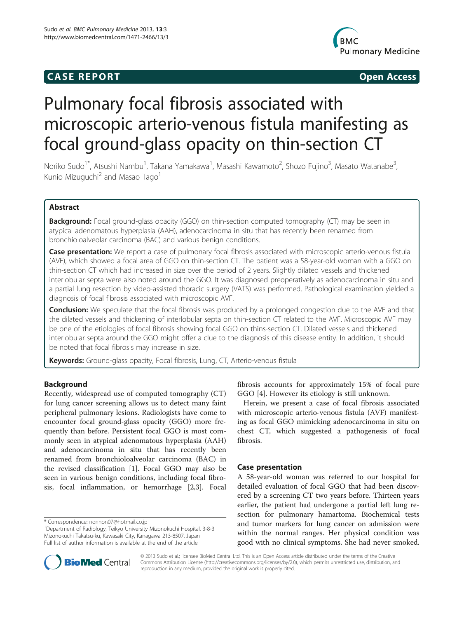# **CASE REPORT CASE REPORT**



# Pulmonary focal fibrosis associated with microscopic arterio-venous fistula manifesting as focal ground-glass opacity on thin-section CT

Noriko Sudo<sup>1\*</sup>, Atsushi Nambu<sup>1</sup>, Takana Yamakawa<sup>1</sup>, Masashi Kawamoto<sup>2</sup>, Shozo Fujino<sup>3</sup>, Masato Watanabe<sup>3</sup> , Kunio Mizuguchi<sup>2</sup> and Masao Tago<sup>1</sup>

# Abstract

**Background:** Focal ground-glass opacity (GGO) on thin-section computed tomography (CT) may be seen in atypical adenomatous hyperplasia (AAH), adenocarcinoma in situ that has recently been renamed from bronchioloalveolar carcinoma (BAC) and various benign conditions.

Case presentation: We report a case of pulmonary focal fibrosis associated with microscopic arterio-venous fistula (AVF), which showed a focal area of GGO on thin-section CT. The patient was a 58-year-old woman with a GGO on thin-section CT which had increased in size over the period of 2 years. Slightly dilated vessels and thickened interlobular septa were also noted around the GGO. It was diagnosed preoperatively as adenocarcinoma in situ and a partial lung resection by video-assisted thoracic surgery (VATS) was performed. Pathological examination yielded a diagnosis of focal fibrosis associated with microscopic AVF.

Conclusion: We speculate that the focal fibrosis was produced by a prolonged congestion due to the AVF and that the dilated vessels and thickening of interlobular septa on thin-section CT related to the AVF. Microscopic AVF may be one of the etiologies of focal fibrosis showing focal GGO on thins-section CT. Dilated vessels and thickened interlobular septa around the GGO might offer a clue to the diagnosis of this disease entity. In addition, it should be noted that focal fibrosis may increase in size.

Keywords: Ground-glass opacity, Focal fibrosis, Lung, CT, Arterio-venous fistula

# Background

Recently, widespread use of computed tomography (CT) for lung cancer screening allows us to detect many faint peripheral pulmonary lesions. Radiologists have come to encounter focal ground-glass opacity (GGO) more frequently than before. Persistent focal GGO is most commonly seen in atypical adenomatous hyperplasia (AAH) and adenocarcinoma in situ that has recently been renamed from bronchioloalveolar carcinoma (BAC) in the revised classification [[1\]](#page-3-0). Focal GGO may also be seen in various benign conditions, including focal fibrosis, focal inflammation, or hemorrhage [\[2,3](#page-3-0)]. Focal fibrosis accounts for approximately 15% of focal pure GGO [[4\]](#page-3-0). However its etiology is still unknown.

Herein, we present a case of focal fibrosis associated with microscopic arterio-venous fistula (AVF) manifesting as focal GGO mimicking adenocarcinoma in situ on chest CT, which suggested a pathogenesis of focal fibrosis.

# Case presentation

A 58-year-old woman was referred to our hospital for detailed evaluation of focal GGO that had been discovered by a screening CT two years before. Thirteen years earlier, the patient had undergone a partial left lung resection for pulmonary hamartoma. Biochemical tests and tumor markers for lung cancer on admission were within the normal ranges. Her physical condition was good with no clinical symptoms. She had never smoked.



© 2013 Sudo et al.; licensee BioMed Central Ltd. This is an Open Access article distributed under the terms of the Creative Commons Attribution License [\(http://creativecommons.org/licenses/by/2.0\)](http://creativecommons.org/licenses/by/2.0), which permits unrestricted use, distribution, and reproduction in any medium, provided the original work is properly cited.

<sup>\*</sup> Correspondence: [nonnon07@hotmail.co.jp](mailto:nonnon07@hotmail.co.jp) <sup>1</sup>

Department of Radiology, Teikyo University Mizonokuchi Hospital, 3-8-3 Mizonokuchi Takatsu-ku, Kawasaki City, Kanagawa 213-8507, Japan Full list of author information is available at the end of the article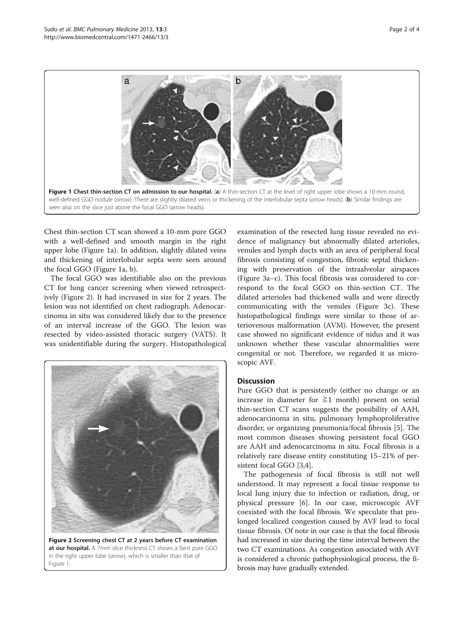

Chest thin-section CT scan showed a 10-mm pure GGO with a well-defined and smooth margin in the right upper lobe (Figure 1a). In addition, slightly dilated veins and thickening of interlobular septa were seen around the focal GGO (Figure 1a, b).

The focal GGO was identifiable also on the previous CT for lung cancer screening when viewed retrospectively (Figure 2). It had increased in size for 2 years. The lesion was not identified on chest radiograph. Adenocarcinoma in situ was considered likely due to the presence of an interval increase of the GGO. The lesion was resected by video-assisted thoracic surgery (VATS). It was unidentifiable during the surgery. Histopathological



Figure 2 Screening chest CT at 2 years before CT examination at our hospital. A 7mm slice thickness CT shows a faint pure GGO in the right upper lobe (arrow), which is smaller than that of Figure 1.

examination of the resected lung tissue revealed no evidence of malignancy but abnormally dilated arterioles, venules and lymph ducts with an area of peripheral focal fibrosis consisting of congestion, fibrotic septal thickening with preservation of the intraalveolar airspaces (Figure [3](#page-2-0)a–c). This focal fibrosis was considered to correspond to the focal GGO on thin-section CT. The dilated arterioles had thickened walls and were directly communicating with the venules (Figure [3c](#page-2-0)). These histopathological findings were similar to those of arteriovenous malformation (AVM). However, the present case showed no significant evidence of nidus and it was unknown whether these vascular abnormalities were congenital or not. Therefore, we regarded it as microscopic AVF.

# **Discussion**

Pure GGO that is persistently (either no change or an increase in diameter for  $\geq 1$  month) present on serial thin-section CT scans suggests the possibility of AAH, adenocarcinoma in situ, pulmonary lymphoproliferative disorder, or organizing pneumonia/focal fibrosis [[5\]](#page-3-0). The most common diseases showing persistent focal GGO are AAH and adenocarcinoma in situ. Focal fibrosis is a relatively rare disease entity constituting 15–21% of persistent focal GGO [\[3](#page-3-0),[4](#page-3-0)].

The pathogenesis of focal fibrosis is still not well understood. It may represent a focal tissue response to local lung injury due to infection or radiation, drug, or physical pressure [\[6](#page-3-0)]. In our case, microscopic AVF coexisted with the focal fibrosis. We speculate that prolonged localized congestion caused by AVF lead to focal tissue fibrosis. Of note in our case is that the focal fibrosis had increased in size during the time interval between the two CT examinations. As congestion associated with AVF is considered a chronic pathophysiological process, the fibrosis may have gradually extended.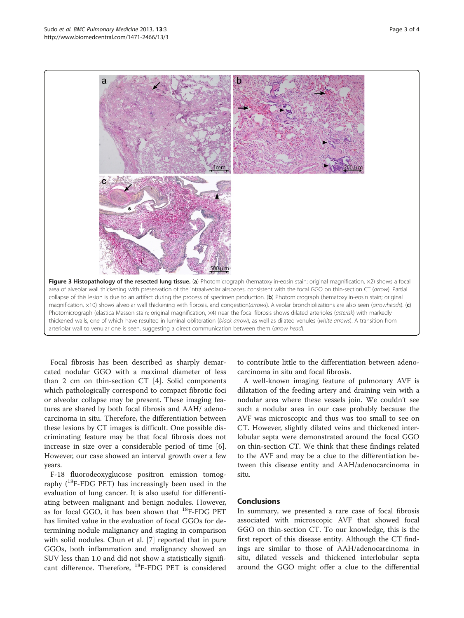<span id="page-2-0"></span>

Focal fibrosis has been described as sharply demarcated nodular GGO with a maximal diameter of less than 2 cm on thin-section CT [\[4](#page-3-0)]. Solid components which pathologically correspond to compact fibrotic foci or alveolar collapse may be present. These imaging features are shared by both focal fibrosis and AAH/ adenocarcinoma in situ. Therefore, the differentiation between these lesions by CT images is difficult. One possible discriminating feature may be that focal fibrosis does not increase in size over a considerable period of time [\[6](#page-3-0)]. However, our case showed an interval growth over a few years.

F-18 fluorodeoxyglucose positron emission tomography  $(^{18}F-FDG$  PET) has increasingly been used in the evaluation of lung cancer. It is also useful for differentiating between malignant and benign nodules. However, as for focal GGO, it has been shown that  $^{18}$ F-FDG PET has limited value in the evaluation of focal GGOs for determining nodule malignancy and staging in comparison with solid nodules. Chun et al. [\[7\]](#page-3-0) reported that in pure GGOs, both inflammation and malignancy showed an SUV less than 1.0 and did not show a statistically significant difference. Therefore, <sup>18</sup>F-FDG PET is considered

to contribute little to the differentiation between adenocarcinoma in situ and focal fibrosis.

A well-known imaging feature of pulmonary AVF is dilatation of the feeding artery and draining vein with a nodular area where these vessels join. We couldn't see such a nodular area in our case probably because the AVF was microscopic and thus was too small to see on CT. However, slightly dilated veins and thickened interlobular septa were demonstrated around the focal GGO on thin-section CT. We think that these findings related to the AVF and may be a clue to the differentiation between this disease entity and AAH/adenocarcinoma in situ.

## Conclusions

In summary, we presented a rare case of focal fibrosis associated with microscopic AVF that showed focal GGO on thin-section CT. To our knowledge, this is the first report of this disease entity. Although the CT findings are similar to those of AAH/adenocarcinoma in situ, dilated vessels and thickened interlobular septa around the GGO might offer a clue to the differential